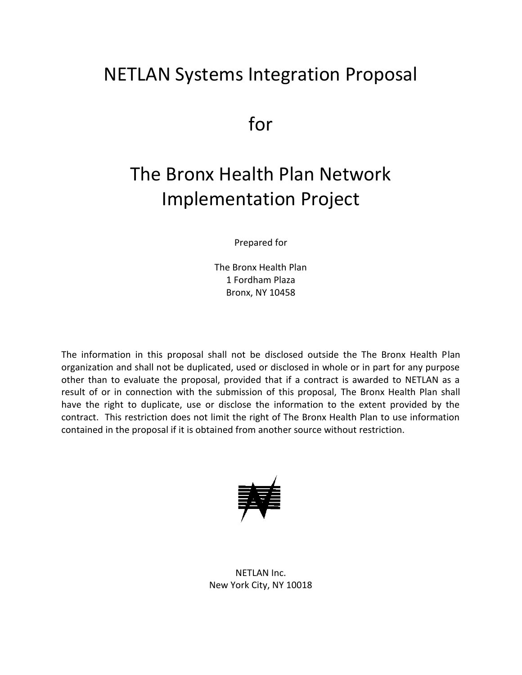# NETLAN Systems Integration Proposal

for

# The Bronx Health Plan Network Implementation Project

Prepared for

The Bronx Health Plan 1 Fordham Plaza Bronx, NY 10458

The information in this proposal shall not be disclosed outside the The Bronx Health Plan organization and shall not be duplicated, used or disclosed in whole or in part for any purpose other than to evaluate the proposal, provided that if a contract is awarded to NETLAN as a result of or in connection with the submission of this proposal, The Bronx Health Plan shall have the right to duplicate, use or disclose the information to the extent provided by the contract. This restriction does not limit the right of The Bronx Health Plan to use information contained in the proposal if it is obtained from another source without restriction.



NETLAN Inc. New York City, NY 10018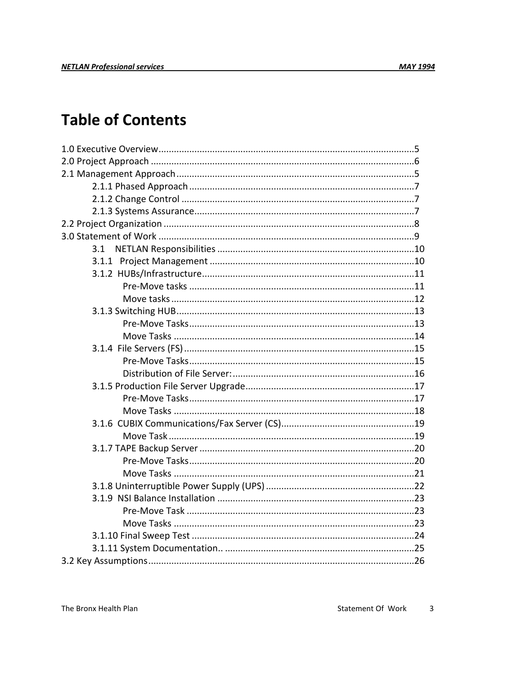# **Table of Contents**

| 3.1 |  |
|-----|--|
|     |  |
|     |  |
|     |  |
|     |  |
|     |  |
|     |  |
|     |  |
|     |  |
|     |  |
|     |  |
|     |  |
|     |  |
|     |  |
|     |  |
|     |  |
|     |  |
|     |  |
|     |  |
|     |  |
|     |  |
|     |  |
|     |  |
|     |  |
|     |  |
|     |  |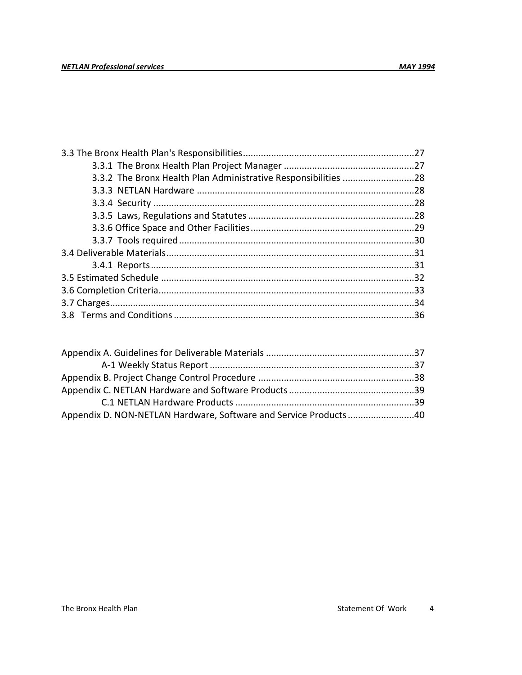| 3.3.2 The Bronx Health Plan Administrative Responsibilities 28 |  |
|----------------------------------------------------------------|--|
|                                                                |  |
|                                                                |  |
|                                                                |  |
|                                                                |  |
|                                                                |  |
|                                                                |  |
|                                                                |  |
|                                                                |  |
|                                                                |  |
|                                                                |  |
|                                                                |  |
|                                                                |  |

| Appendix D. NON-NETLAN Hardware, Software and Service Products40 |  |
|------------------------------------------------------------------|--|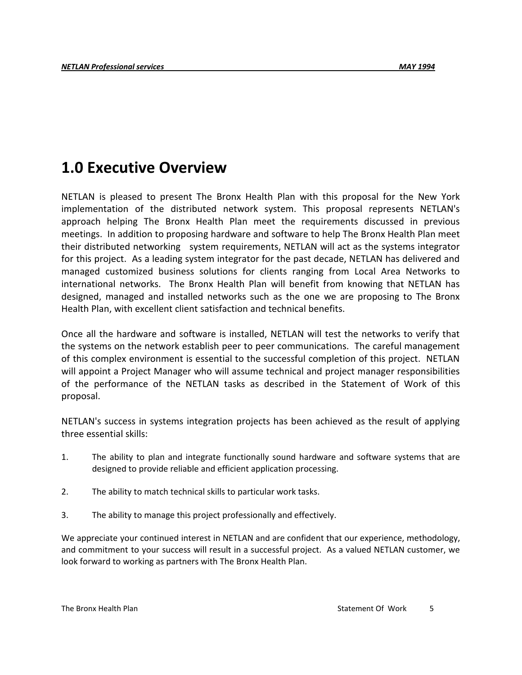# **1.0 Executive Overview**

NETLAN is pleased to present The Bronx Health Plan with this proposal for the New York implementation of the distributed network system. This proposal represents NETLAN's approach helping The Bronx Health Plan meet the requirements discussed in previous meetings. In addition to proposing hardware and software to help The Bronx Health Plan meet their distributed networking system requirements, NETLAN will act as the systems integrator for this project. As a leading system integrator for the past decade, NETLAN has delivered and managed customized business solutions for clients ranging from Local Area Networks to international networks. The Bronx Health Plan will benefit from knowing that NETLAN has designed, managed and installed networks such as the one we are proposing to The Bronx Health Plan, with excellent client satisfaction and technical benefits.

Once all the hardware and software is installed, NETLAN will test the networks to verify that the systems on the network establish peer to peer communications. The careful management of this complex environment is essential to the successful completion of this project. NETLAN will appoint a Project Manager who will assume technical and project manager responsibilities of the performance of the NETLAN tasks as described in the Statement of Work of this proposal.

NETLAN's success in systems integration projects has been achieved as the result of applying three essential skills:

- 1. The ability to plan and integrate functionally sound hardware and software systems that are designed to provide reliable and efficient application processing.
- 2. The ability to match technical skills to particular work tasks.
- 3. The ability to manage this project professionally and effectively.

We appreciate your continued interest in NETLAN and are confident that our experience, methodology, and commitment to your success will result in a successful project. As a valued NETLAN customer, we look forward to working as partners with The Bronx Health Plan.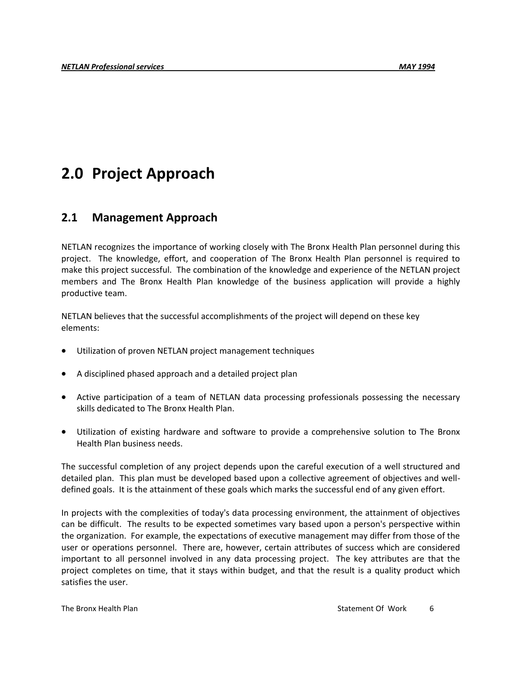# **2.0 Project Approach**

### **2.1 Management Approach**

NETLAN recognizes the importance of working closely with The Bronx Health Plan personnel during this project. The knowledge, effort, and cooperation of The Bronx Health Plan personnel is required to make this project successful. The combination of the knowledge and experience of the NETLAN project members and The Bronx Health Plan knowledge of the business application will provide a highly productive team.

NETLAN believes that the successful accomplishments of the project will depend on these key elements:

- Utilization of proven NETLAN project management techniques
- A disciplined phased approach and a detailed project plan
- Active participation of a team of NETLAN data processing professionals possessing the necessary skills dedicated to The Bronx Health Plan.
- Utilization of existing hardware and software to provide a comprehensive solution to The Bronx Health Plan business needs.

The successful completion of any project depends upon the careful execution of a well structured and detailed plan. This plan must be developed based upon a collective agreement of objectives and welldefined goals. It is the attainment of these goals which marks the successful end of any given effort.

In projects with the complexities of today's data processing environment, the attainment of objectives can be difficult. The results to be expected sometimes vary based upon a person's perspective within the organization. For example, the expectations of executive management may differ from those of the user or operations personnel. There are, however, certain attributes of success which are considered important to all personnel involved in any data processing project. The key attributes are that the project completes on time, that it stays within budget, and that the result is a quality product which satisfies the user.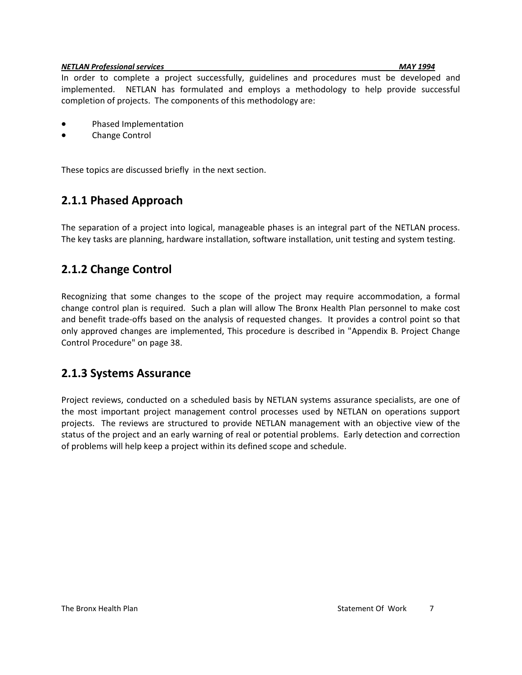#### *NETLAN Professional services MAY 1994*

In order to complete a project successfully, guidelines and procedures must be developed and implemented. NETLAN has formulated and employs a methodology to help provide successful completion of projects. The components of this methodology are:

- Phased Implementation
- Change Control

These topics are discussed briefly in the next section.

### **2.1.1 Phased Approach**

The separation of a project into logical, manageable phases is an integral part of the NETLAN process. The key tasks are planning, hardware installation, software installation, unit testing and system testing.

### **2.1.2 Change Control**

Recognizing that some changes to the scope of the project may require accommodation, a formal change control plan is required. Such a plan will allow The Bronx Health Plan personnel to make cost and benefit trade-offs based on the analysis of requested changes. It provides a control point so that only approved changes are implemented, This procedure is described in "Appendix B. Project Change Control Procedure" on page 38.

### **2.1.3 Systems Assurance**

Project reviews, conducted on a scheduled basis by NETLAN systems assurance specialists, are one of the most important project management control processes used by NETLAN on operations support projects. The reviews are structured to provide NETLAN management with an objective view of the status of the project and an early warning of real or potential problems. Early detection and correction of problems will help keep a project within its defined scope and schedule.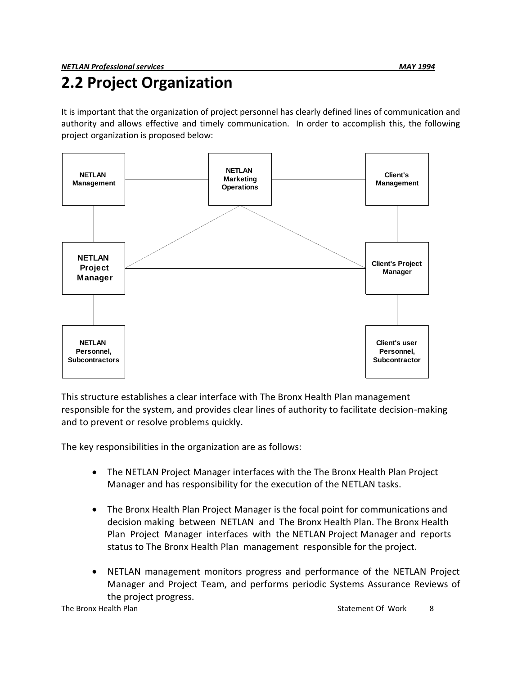# **2.2 Project Organization**

It is important that the organization of project personnel has clearly defined lines of communication and authority and allows effective and timely communication. In order to accomplish this, the following project organization is proposed below:



This structure establishes a clear interface with The Bronx Health Plan management responsible for the system, and provides clear lines of authority to facilitate decision-making and to prevent or resolve problems quickly.

The key responsibilities in the organization are as follows:

- The NETLAN Project Manager interfaces with the The Bronx Health Plan Project Manager and has responsibility for the execution of the NETLAN tasks.
- The Bronx Health Plan Project Manager is the focal point for communications and decision making between NETLAN and The Bronx Health Plan. The Bronx Health Plan Project Manager interfaces with the NETLAN Project Manager and reports status to The Bronx Health Plan management responsible for the project.
- NETLAN management monitors progress and performance of the NETLAN Project Manager and Project Team, and performs periodic Systems Assurance Reviews of the project progress.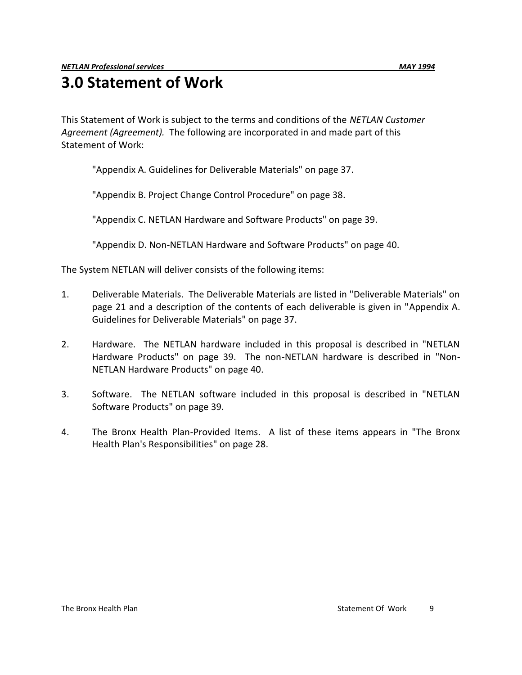# **3.0 Statement of Work**

This Statement of Work is subject to the terms and conditions of the *NETLAN Customer Agreement (Agreement).* The following are incorporated in and made part of this Statement of Work:

"Appendix A. Guidelines for Deliverable Materials" on page 37.

"Appendix B. Project Change Control Procedure" on page 38.

"Appendix C. NETLAN Hardware and Software Products" on page 39.

"Appendix D. Non-NETLAN Hardware and Software Products" on page 40.

The System NETLAN will deliver consists of the following items:

- 1. Deliverable Materials. The Deliverable Materials are listed in "Deliverable Materials" on page 21 and a description of the contents of each deliverable is given in "Appendix A. Guidelines for Deliverable Materials" on page 37.
- 2. Hardware. The NETLAN hardware included in this proposal is described in "NETLAN Hardware Products" on page 39. The non-NETLAN hardware is described in "Non-NETLAN Hardware Products" on page 40.
- 3. Software. The NETLAN software included in this proposal is described in "NETLAN Software Products" on page 39.
- 4. The Bronx Health Plan-Provided Items. A list of these items appears in "The Bronx Health Plan's Responsibilities" on page 28.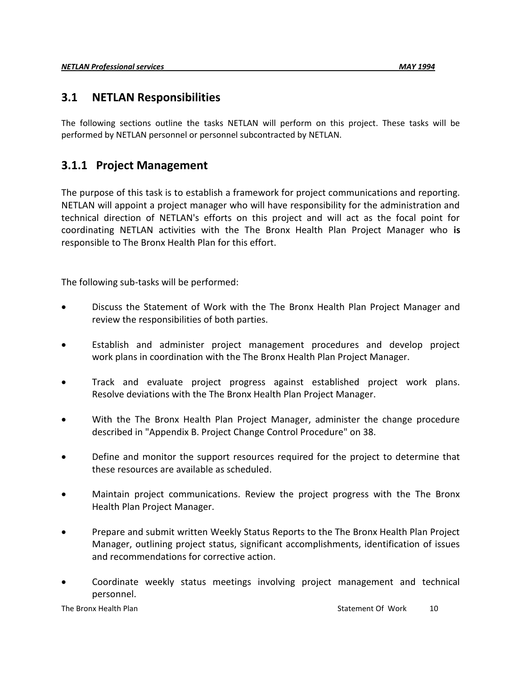### **3.1 NETLAN Responsibilities**

The following sections outline the tasks NETLAN will perform on this project. These tasks will be performed by NETLAN personnel or personnel subcontracted by NETLAN.

# **3.1.1 Project Management**

The purpose of this task is to establish a framework for project communications and reporting. NETLAN will appoint a project manager who will have responsibility for the administration and technical direction of NETLAN's efforts on this project and will act as the focal point for coordinating NETLAN activities with the The Bronx Health Plan Project Manager who **is**  responsible to The Bronx Health Plan for this effort.

The following sub-tasks will be performed:

- Discuss the Statement of Work with the The Bronx Health Plan Project Manager and review the responsibilities of both parties.
- Establish and administer project management procedures and develop project work plans in coordination with the The Bronx Health Plan Project Manager.
- Track and evaluate project progress against established project work plans. Resolve deviations with the The Bronx Health Plan Project Manager.
- With the The Bronx Health Plan Project Manager, administer the change procedure described in "Appendix B. Project Change Control Procedure" on 38.
- Define and monitor the support resources required for the project to determine that these resources are available as scheduled.
- Maintain project communications. Review the project progress with the The Bronx Health Plan Project Manager.
- Prepare and submit written Weekly Status Reports to the The Bronx Health Plan Project Manager, outlining project status, significant accomplishments, identification of issues and recommendations for corrective action.
- Coordinate weekly status meetings involving project management and technical personnel.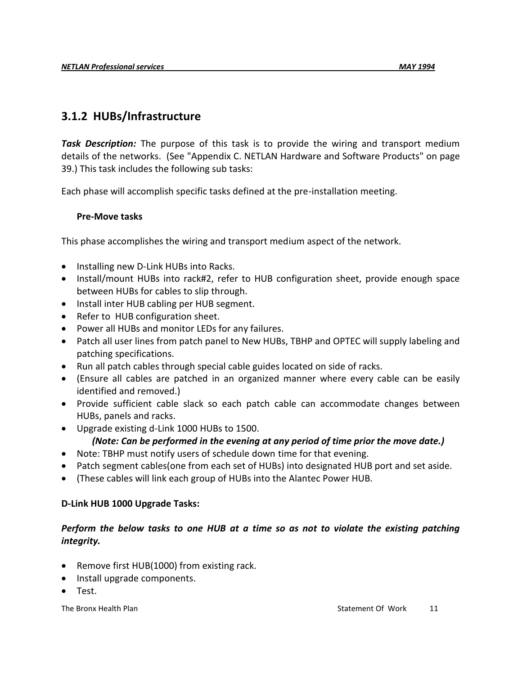# **3.1.2 HUBs/Infrastructure**

*Task Description:* The purpose of this task is to provide the wiring and transport medium details of the networks. (See "Appendix C. NETLAN Hardware and Software Products" on page 39.) This task includes the following sub tasks:

Each phase will accomplish specific tasks defined at the pre-installation meeting.

#### **Pre-Move tasks**

This phase accomplishes the wiring and transport medium aspect of the network.

- Installing new D-Link HUBs into Racks.
- Install/mount HUBs into rack#2, refer to HUB configuration sheet, provide enough space between HUBs for cables to slip through.
- Install inter HUB cabling per HUB segment.
- Refer to HUB configuration sheet.
- Power all HUBs and monitor LEDs for any failures.
- Patch all user lines from patch panel to New HUBs, TBHP and OPTEC will supply labeling and patching specifications.
- Run all patch cables through special cable guides located on side of racks.
- (Ensure all cables are patched in an organized manner where every cable can be easily identified and removed.)
- Provide sufficient cable slack so each patch cable can accommodate changes between HUBs, panels and racks.
- Upgrade existing d-Link 1000 HUBs to 1500.

#### *(Note: Can be performed in the evening at any period of time prior the move date.)*

- Note: TBHP must notify users of schedule down time for that evening.
- Patch segment cables(one from each set of HUBs) into designated HUB port and set aside.
- (These cables will link each group of HUBs into the Alantec Power HUB.

#### **D-Link HUB 1000 Upgrade Tasks:**

#### *Perform the below tasks to one HUB at a time so as not to violate the existing patching integrity.*

- Remove first HUB(1000) from existing rack.
- Install upgrade components.
- Test.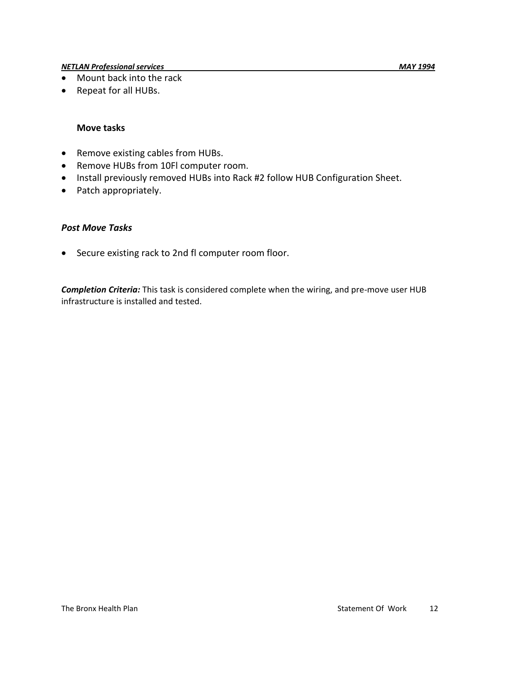#### *NETLAN Professional services MAY 1994*

- Mount back into the rack
- Repeat for all HUBs.

#### **Move tasks**

- Remove existing cables from HUBs.
- Remove HUBs from 10Fl computer room.
- Install previously removed HUBs into Rack #2 follow HUB Configuration Sheet.
- Patch appropriately.

#### *Post Move Tasks*

• Secure existing rack to 2nd fl computer room floor.

*Completion Criteria:* This task is considered complete when the wiring, and pre-move user HUB infrastructure is installed and tested.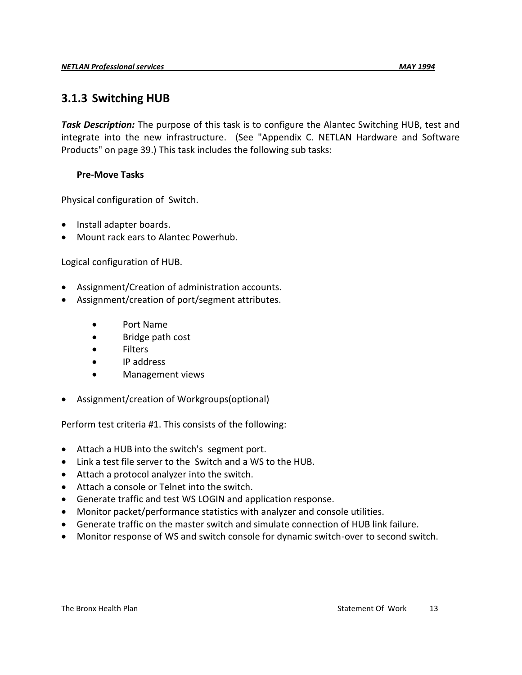### **3.1.3 Switching HUB**

*Task Description:* The purpose of this task is to configure the Alantec Switching HUB, test and integrate into the new infrastructure. (See "Appendix C. NETLAN Hardware and Software Products" on page 39.) This task includes the following sub tasks:

#### **Pre-Move Tasks**

Physical configuration of Switch.

- Install adapter boards.
- Mount rack ears to Alantec Powerhub.

Logical configuration of HUB.

- Assignment/Creation of administration accounts.
- Assignment/creation of port/segment attributes.
	- Port Name
	- Bridge path cost
	- Filters
	- IP address
	- Management views
- Assignment/creation of Workgroups(optional)

Perform test criteria #1. This consists of the following:

- Attach a HUB into the switch's segment port.
- Link a test file server to the Switch and a WS to the HUB.
- Attach a protocol analyzer into the switch.
- Attach a console or Telnet into the switch.
- Generate traffic and test WS LOGIN and application response.
- Monitor packet/performance statistics with analyzer and console utilities.
- Generate traffic on the master switch and simulate connection of HUB link failure.
- Monitor response of WS and switch console for dynamic switch-over to second switch.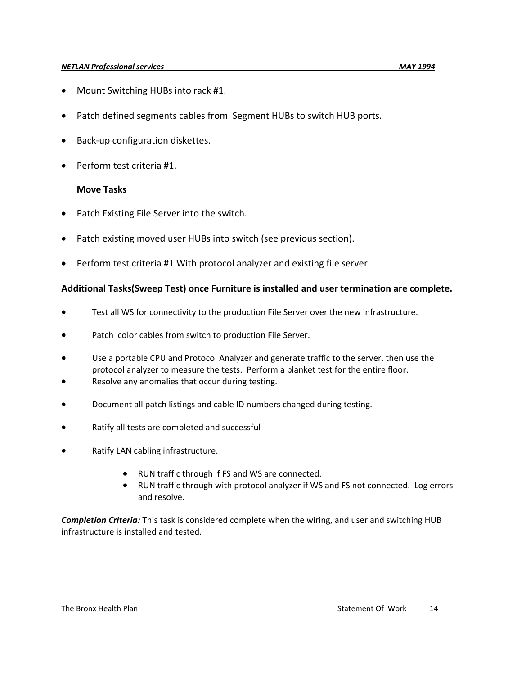#### *NETLAN Professional services MAY 1994*

- Mount Switching HUBs into rack #1.
- Patch defined segments cables from Segment HUBs to switch HUB ports.
- Back-up configuration diskettes.
- Perform test criteria #1.

#### **Move Tasks**

- Patch Existing File Server into the switch.
- Patch existing moved user HUBs into switch (see previous section).
- Perform test criteria #1 With protocol analyzer and existing file server.

#### **Additional Tasks(Sweep Test) once Furniture is installed and user termination are complete.**

- Test all WS for connectivity to the production File Server over the new infrastructure.
- Patch color cables from switch to production File Server.
- Use a portable CPU and Protocol Analyzer and generate traffic to the server, then use the protocol analyzer to measure the tests. Perform a blanket test for the entire floor.
- Resolve any anomalies that occur during testing.
- Document all patch listings and cable ID numbers changed during testing.
- Ratify all tests are completed and successful
- Ratify LAN cabling infrastructure.
	- RUN traffic through if FS and WS are connected.
	- RUN traffic through with protocol analyzer if WS and FS not connected. Log errors and resolve.

*Completion Criteria:* This task is considered complete when the wiring, and user and switching HUB infrastructure is installed and tested.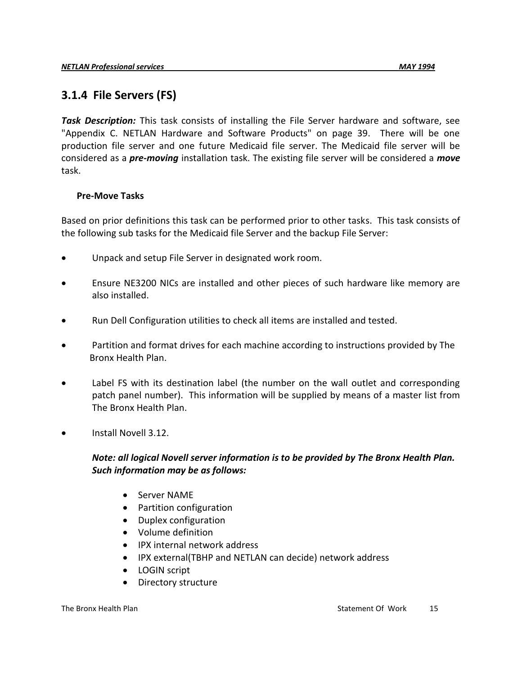# **3.1.4 File Servers (FS)**

*Task Description:* This task consists of installing the File Server hardware and software, see "Appendix C. NETLAN Hardware and Software Products" on page 39. There will be one production file server and one future Medicaid file server. The Medicaid file server will be considered as a *pre-moving* installation task. The existing file server will be considered a *move* task.

#### **Pre-Move Tasks**

Based on prior definitions this task can be performed prior to other tasks. This task consists of the following sub tasks for the Medicaid file Server and the backup File Server:

- Unpack and setup File Server in designated work room.
- Ensure NE3200 NICs are installed and other pieces of such hardware like memory are also installed.
- Run Dell Configuration utilities to check all items are installed and tested.
- Partition and format drives for each machine according to instructions provided by The Bronx Health Plan.
- Label FS with its destination label (the number on the wall outlet and corresponding patch panel number). This information will be supplied by means of a master list from The Bronx Health Plan.
- Install Novell 3.12.

### *Note: all logical Novell server information is to be provided by The Bronx Health Plan. Such information may be as follows:*

- Server NAME
- Partition configuration
- Duplex configuration
- Volume definition
- IPX internal network address
- IPX external(TBHP and NETLAN can decide) network address
- LOGIN script
- Directory structure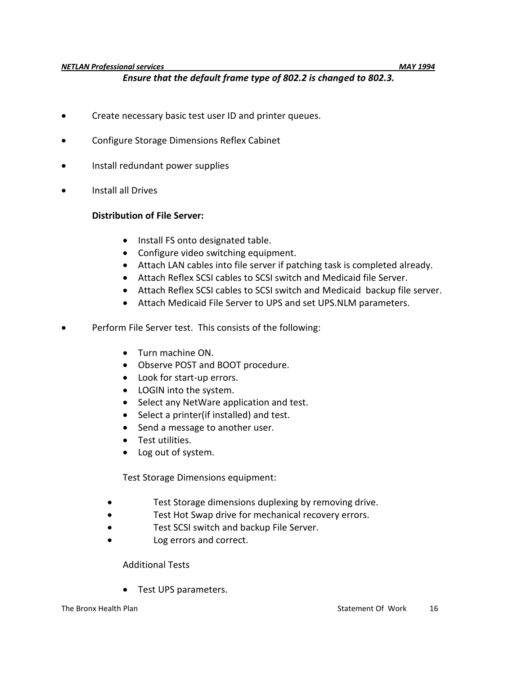#### *Ensure that the default frame type of 802.2 is changed to 802.3.*

- **•** Create necessary basic test user ID and printer queues.
- Configure Storage Dimensions Reflex Cabinet
- Install redundant power supplies
- Install all Drives

#### **Distribution of File Server:**

- Install FS onto designated table.
- Configure video switching equipment.
- Attach LAN cables into file server if patching task is completed already.
- Attach Reflex SCSI cables to SCSI switch and Medicaid file Server.
- Attach Reflex SCSI cables to SCSI switch and Medicaid backup file server.
- Attach Medicaid File Server to UPS and set UPS.NLM parameters.
- Perform File Server test. This consists of the following:
	- Turn machine ON.
	- Observe POST and BOOT procedure.
	- Look for start-up errors.
	- LOGIN into the system.
	- Select any NetWare application and test.
	- Select a printer(if installed) and test.
	- Send a message to another user.
	- Test utilities.
	- Log out of system.

Test Storage Dimensions equipment:

- Test Storage dimensions duplexing by removing drive.
- Test Hot Swap drive for mechanical recovery errors.
- Test SCSI switch and backup File Server.
- Log errors and correct.

Additional Tests

• Test UPS parameters.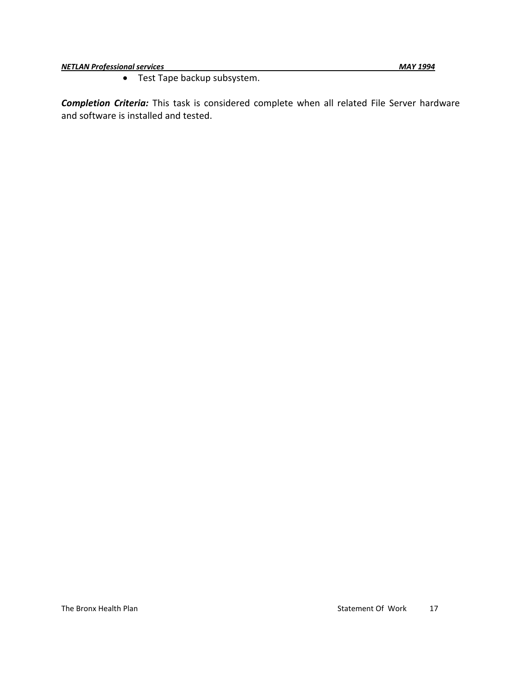*NETLAN Professional services MAY 1994*

Test Tape backup subsystem.

*Completion Criteria:* This task is considered complete when all related File Server hardware and software is installed and tested.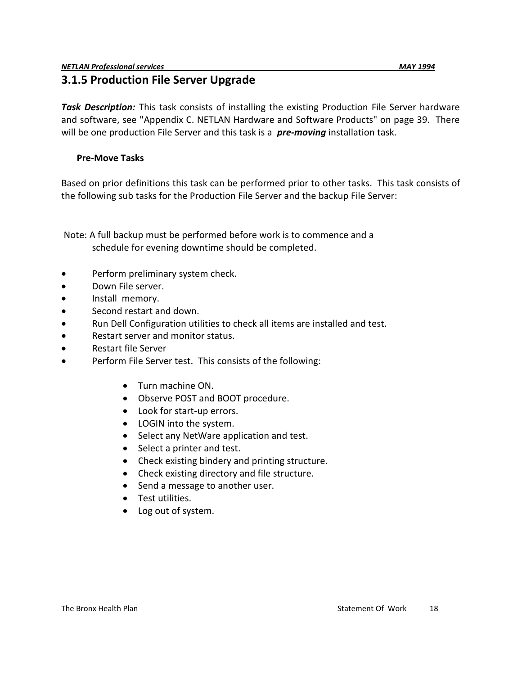# **3.1.5 Production File Server Upgrade**

*Task Description:* This task consists of installing the existing Production File Server hardware and software, see "Appendix C. NETLAN Hardware and Software Products" on page 39. There will be one production File Server and this task is a *pre-moving* installation task.

#### **Pre-Move Tasks**

Based on prior definitions this task can be performed prior to other tasks. This task consists of the following sub tasks for the Production File Server and the backup File Server:

Note: A full backup must be performed before work is to commence and a schedule for evening downtime should be completed.

- Perform preliminary system check.
- Down File server.
- **•** Install memory.
- Second restart and down.
- Run Dell Configuration utilities to check all items are installed and test.
- Restart server and monitor status.
- Restart file Server
- Perform File Server test. This consists of the following:
	- Turn machine ON.
	- Observe POST and BOOT procedure.
	- Look for start-up errors.
	- LOGIN into the system.
	- Select any NetWare application and test.
	- Select a printer and test.
	- Check existing bindery and printing structure.
	- Check existing directory and file structure.
	- Send a message to another user.
	- Test utilities.
	- Log out of system.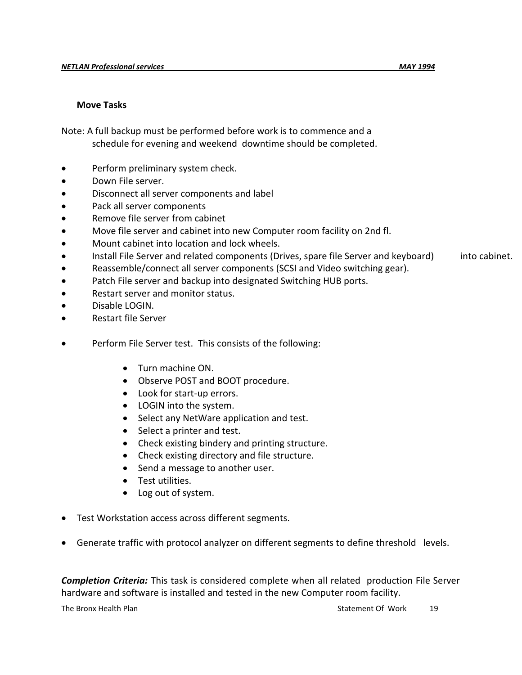#### **Move Tasks**

Note: A full backup must be performed before work is to commence and a schedule for evening and weekend downtime should be completed.

- Perform preliminary system check.
- Down File server.
- Disconnect all server components and label
- Pack all server components
- Remove file server from cabinet
- Move file server and cabinet into new Computer room facility on 2nd fl.
- Mount cabinet into location and lock wheels.
- Install File Server and related components (Drives, spare file Server and keyboard) into cabinet.
- Reassemble/connect all server components (SCSI and Video switching gear).
- Patch File server and backup into designated Switching HUB ports.
- Restart server and monitor status.
- Disable LOGIN.
- Restart file Server
- Perform File Server test. This consists of the following:
	- Turn machine ON.
	- Observe POST and BOOT procedure.
	- Look for start-up errors.
	- LOGIN into the system.
	- Select any NetWare application and test.
	- Select a printer and test.
	- Check existing bindery and printing structure.
	- Check existing directory and file structure.
	- Send a message to another user.
	- Test utilities.
	- Log out of system.
- Test Workstation access across different segments.
- Generate traffic with protocol analyzer on different segments to define threshold levels.

*Completion Criteria:* This task is considered complete when all related production File Server hardware and software is installed and tested in the new Computer room facility.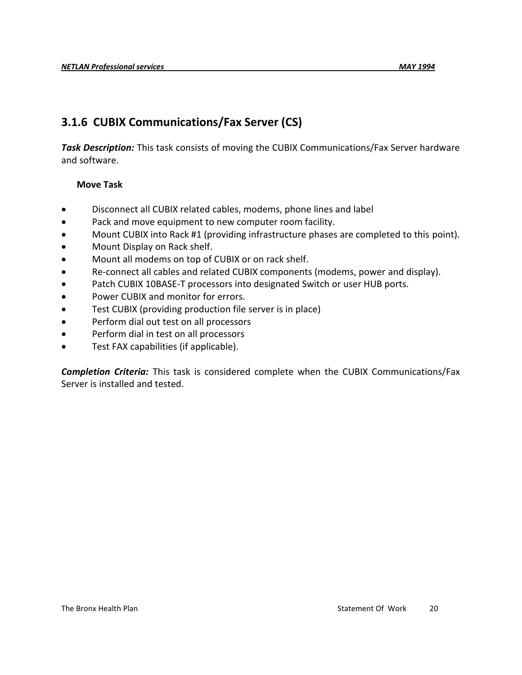# **3.1.6 CUBIX Communications/Fax Server (CS)**

*Task Description:* This task consists of moving the CUBIX Communications/Fax Server hardware and software.

#### **Move Task**

- Disconnect all CUBIX related cables, modems, phone lines and label
- Pack and move equipment to new computer room facility.
- Mount CUBIX into Rack #1 (providing infrastructure phases are completed to this point).
- Mount Display on Rack shelf.
- Mount all modems on top of CUBIX or on rack shelf.
- Re-connect all cables and related CUBIX components (modems, power and display).
- Patch CUBIX 10BASE-T processors into designated Switch or user HUB ports.
- Power CUBIX and monitor for errors.
- Test CUBIX (providing production file server is in place)
- Perform dial out test on all processors
- Perform dial in test on all processors
- Test FAX capabilities (if applicable).

*Completion Criteria:* This task is considered complete when the CUBIX Communications/Fax Server is installed and tested.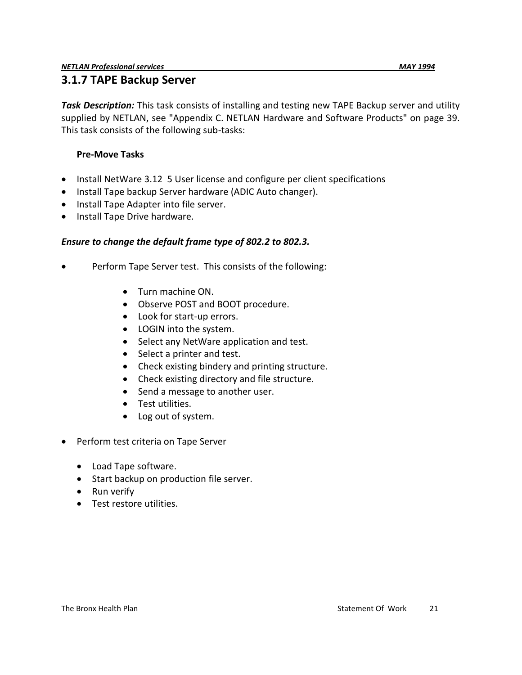*Task Description:* This task consists of installing and testing new TAPE Backup server and utility supplied by NETLAN, see "Appendix C. NETLAN Hardware and Software Products" on page 39.

This task consists of the following sub-tasks:

### **Pre-Move Tasks**

- Install NetWare 3.12 5 User license and configure per client specifications
- Install Tape backup Server hardware (ADIC Auto changer).
- Install Tape Adapter into file server.
- Install Tape Drive hardware.

#### *Ensure to change the default frame type of 802.2 to 802.3.*

- Perform Tape Server test. This consists of the following:
	- Turn machine ON.
	- Observe POST and BOOT procedure.
	- Look for start-up errors.
	- LOGIN into the system.
	- Select any NetWare application and test.
	- Select a printer and test.
	- Check existing bindery and printing structure.
	- Check existing directory and file structure.
	- Send a message to another user.
	- Test utilities.
	- Log out of system.
- Perform test criteria on Tape Server
	- Load Tape software.
	- Start backup on production file server.
	- Run verify
	- **•** Test restore utilities.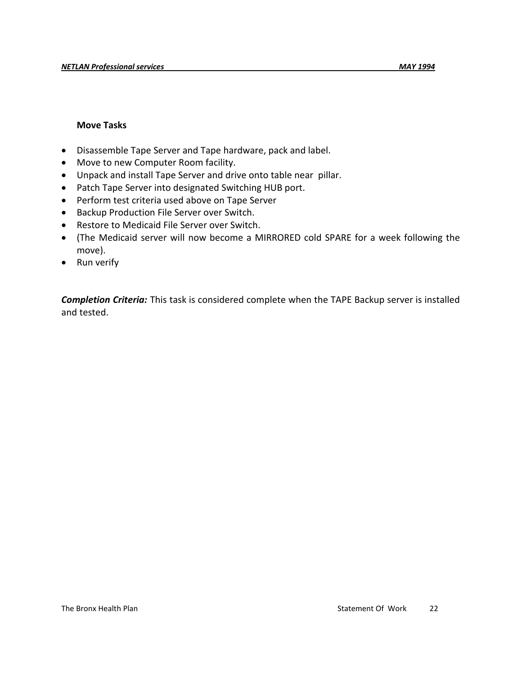#### **Move Tasks**

- Disassemble Tape Server and Tape hardware, pack and label.
- Move to new Computer Room facility.
- Unpack and install Tape Server and drive onto table near pillar.
- Patch Tape Server into designated Switching HUB port.
- Perform test criteria used above on Tape Server
- **•** Backup Production File Server over Switch.
- Restore to Medicaid File Server over Switch.
- (The Medicaid server will now become a MIRRORED cold SPARE for a week following the move).
- Run verify

*Completion Criteria:* This task is considered complete when the TAPE Backup server is installed and tested.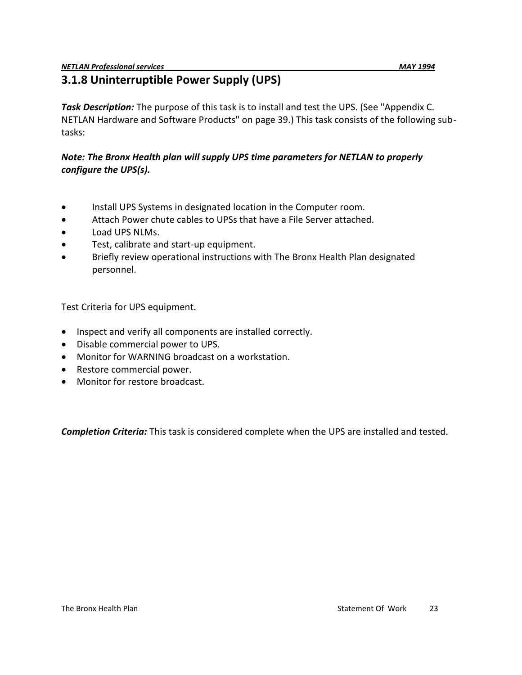# **3.1.8 Uninterruptible Power Supply (UPS)**

*Task Description:* The purpose of this task is to install and test the UPS. (See "Appendix C. NETLAN Hardware and Software Products" on page 39.) This task consists of the following subtasks:

#### *Note: The Bronx Health plan will supply UPS time parameters for NETLAN to properly configure the UPS(s).*

- Install UPS Systems in designated location in the Computer room.
- Attach Power chute cables to UPSs that have a File Server attached.
- Load UPS NLMs.
- Test, calibrate and start-up equipment.
- Briefly review operational instructions with The Bronx Health Plan designated personnel.

Test Criteria for UPS equipment.

- Inspect and verify all components are installed correctly.
- Disable commercial power to UPS.
- Monitor for WARNING broadcast on a workstation.
- Restore commercial power.
- Monitor for restore broadcast.

*Completion Criteria:* This task is considered complete when the UPS are installed and tested.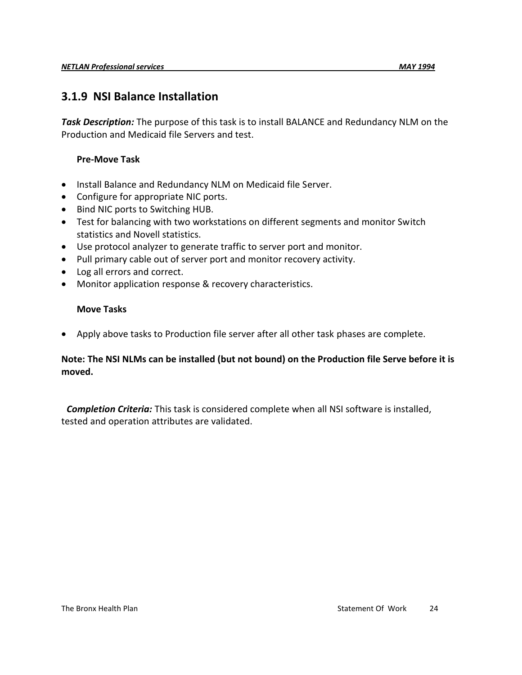### **3.1.9 NSI Balance Installation**

*Task Description:* The purpose of this task is to install BALANCE and Redundancy NLM on the Production and Medicaid file Servers and test.

#### **Pre-Move Task**

- Install Balance and Redundancy NLM on Medicaid file Server.
- Configure for appropriate NIC ports.
- Bind NIC ports to Switching HUB.
- Test for balancing with two workstations on different segments and monitor Switch statistics and Novell statistics.
- Use protocol analyzer to generate traffic to server port and monitor.
- Pull primary cable out of server port and monitor recovery activity.
- Log all errors and correct.
- Monitor application response & recovery characteristics.

#### **Move Tasks**

Apply above tasks to Production file server after all other task phases are complete.

#### **Note: The NSI NLMs can be installed (but not bound) on the Production file Serve before it is moved.**

 *Completion Criteria:* This task is considered complete when all NSI software is installed, tested and operation attributes are validated.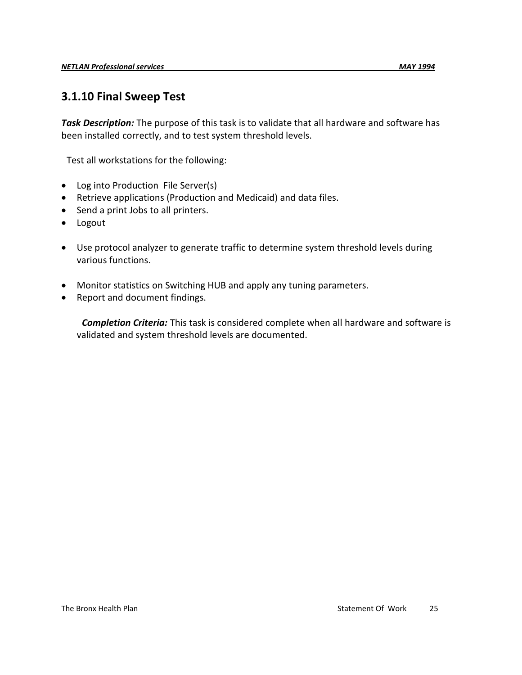### **3.1.10 Final Sweep Test**

*Task Description:* The purpose of this task is to validate that all hardware and software has been installed correctly, and to test system threshold levels.

Test all workstations for the following:

- Log into Production File Server(s)
- Retrieve applications (Production and Medicaid) and data files.
- Send a print Jobs to all printers.
- Logout
- Use protocol analyzer to generate traffic to determine system threshold levels during various functions.
- Monitor statistics on Switching HUB and apply any tuning parameters.
- Report and document findings.

 *Completion Criteria:* This task is considered complete when all hardware and software is validated and system threshold levels are documented.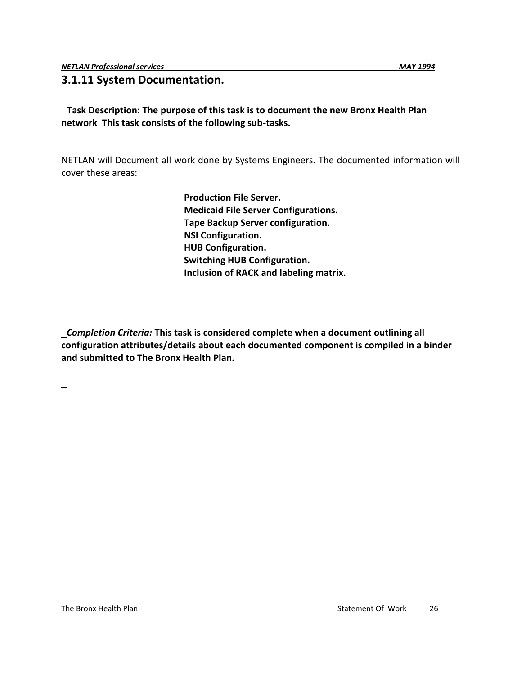#### **3.1.11 System Documentation.**

#### **Task Description: The purpose of this task is to document the new Bronx Health Plan network This task consists of the following sub-tasks.**

NETLAN will Document all work done by Systems Engineers. The documented information will cover these areas:

> **Production File Server. Medicaid File Server Configurations. Tape Backup Server configuration. NSI Configuration. HUB Configuration. Switching HUB Configuration. Inclusion of RACK and labeling matrix.**

*Completion Criteria:* **This task is considered complete when a document outlining all configuration attributes/details about each documented component is compiled in a binder and submitted to The Bronx Health Plan.**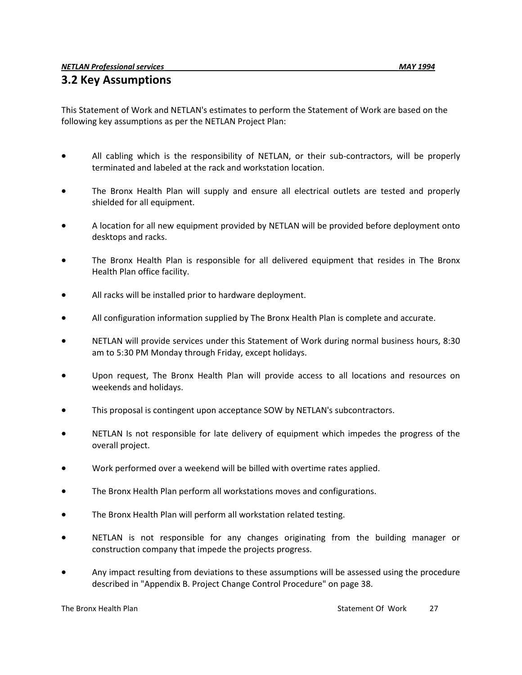### **3.2 Key Assumptions**

This Statement of Work and NETLAN's estimates to perform the Statement of Work are based on the following key assumptions as per the NETLAN Project Plan:

- All cabling which is the responsibility of NETLAN, or their sub-contractors, will be properly terminated and labeled at the rack and workstation location.
- The Bronx Health Plan will supply and ensure all electrical outlets are tested and properly shielded for all equipment.
- A location for all new equipment provided by NETLAN will be provided before deployment onto desktops and racks.
- The Bronx Health Plan is responsible for all delivered equipment that resides in The Bronx Health Plan office facility.
- All racks will be installed prior to hardware deployment.
- All configuration information supplied by The Bronx Health Plan is complete and accurate.
- NETLAN will provide services under this Statement of Work during normal business hours, 8:30 am to 5:30 PM Monday through Friday, except holidays.
- Upon request, The Bronx Health Plan will provide access to all locations and resources on weekends and holidays.
- This proposal is contingent upon acceptance SOW by NETLAN's subcontractors.
- NETLAN Is not responsible for late delivery of equipment which impedes the progress of the overall project.
- Work performed over a weekend will be billed with overtime rates applied.
- The Bronx Health Plan perform all workstations moves and configurations.
- The Bronx Health Plan will perform all workstation related testing.
- NETLAN is not responsible for any changes originating from the building manager or construction company that impede the projects progress.
- Any impact resulting from deviations to these assumptions will be assessed using the procedure described in "Appendix B. Project Change Control Procedure" on page 38.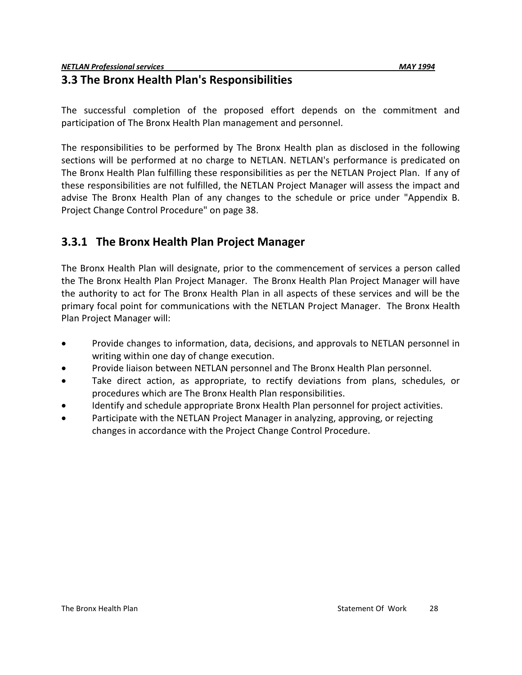### **3.3 The Bronx Health Plan's Responsibilities**

The successful completion of the proposed effort depends on the commitment and participation of The Bronx Health Plan management and personnel.

The responsibilities to be performed by The Bronx Health plan as disclosed in the following sections will be performed at no charge to NETLAN. NETLAN's performance is predicated on The Bronx Health Plan fulfilling these responsibilities as per the NETLAN Project Plan. If any of these responsibilities are not fulfilled, the NETLAN Project Manager will assess the impact and advise The Bronx Health Plan of any changes to the schedule or price under "Appendix B. Project Change Control Procedure" on page 38.

# **3.3.1 The Bronx Health Plan Project Manager**

The Bronx Health Plan will designate, prior to the commencement of services a person called the The Bronx Health Plan Project Manager. The Bronx Health Plan Project Manager will have the authority to act for The Bronx Health Plan in all aspects of these services and will be the primary focal point for communications with the NETLAN Project Manager. The Bronx Health Plan Project Manager will:

- Provide changes to information, data, decisions, and approvals to NETLAN personnel in writing within one day of change execution.
- Provide liaison between NETLAN personnel and The Bronx Health Plan personnel.
- Take direct action, as appropriate, to rectify deviations from plans, schedules, or procedures which are The Bronx Health Plan responsibilities.
- Identify and schedule appropriate Bronx Health Plan personnel for project activities.
- Participate with the NETLAN Project Manager in analyzing, approving, or rejecting changes in accordance with the Project Change Control Procedure.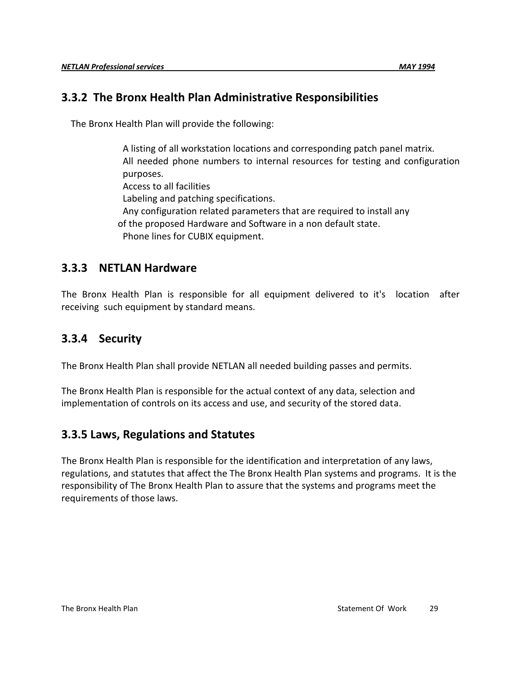### **3.3.2 The Bronx Health Plan Administrative Responsibilities**

The Bronx Health Plan will provide the following:

A listing of all workstation locations and corresponding patch panel matrix. All needed phone numbers to internal resources for testing and configuration purposes. Access to all facilities Labeling and patching specifications. Any configuration related parameters that are required to install any of the proposed Hardware and Software in a non default state. Phone lines for CUBIX equipment.

### **3.3.3 NETLAN Hardware**

The Bronx Health Plan is responsible for all equipment delivered to it's location after receiving such equipment by standard means.

# **3.3.4 Security**

The Bronx Health Plan shall provide NETLAN all needed building passes and permits.

The Bronx Health Plan is responsible for the actual context of any data, selection and implementation of controls on its access and use, and security of the stored data.

### **3.3.5 Laws, Regulations and Statutes**

The Bronx Health Plan is responsible for the identification and interpretation of any laws, regulations, and statutes that affect the The Bronx Health Plan systems and programs. It is the responsibility of The Bronx Health Plan to assure that the systems and programs meet the requirements of those laws.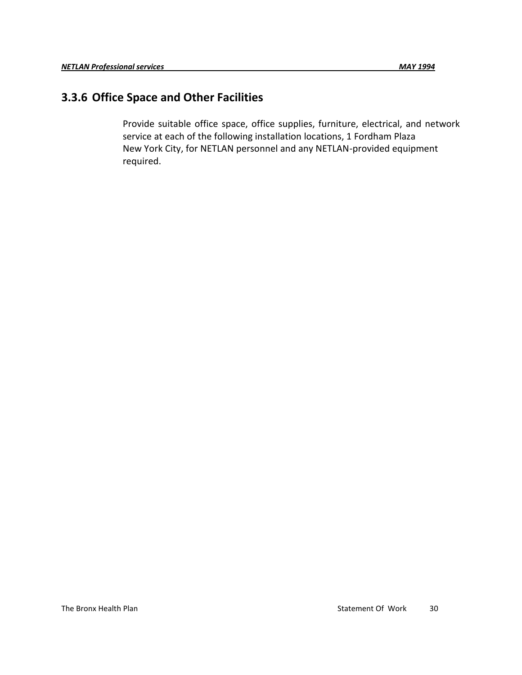### **3.3.6 Office Space and Other Facilities**

Provide suitable office space, office supplies, furniture, electrical, and network service at each of the following installation locations, 1 Fordham Plaza New York City, for NETLAN personnel and any NETLAN-provided equipment required.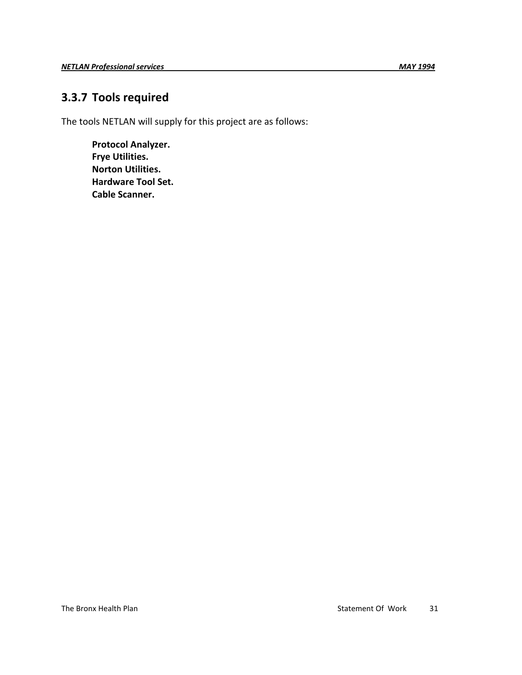# **3.3.7 Tools required**

The tools NETLAN will supply for this project are as follows:

**Protocol Analyzer. Frye Utilities. Norton Utilities. Hardware Tool Set. Cable Scanner.**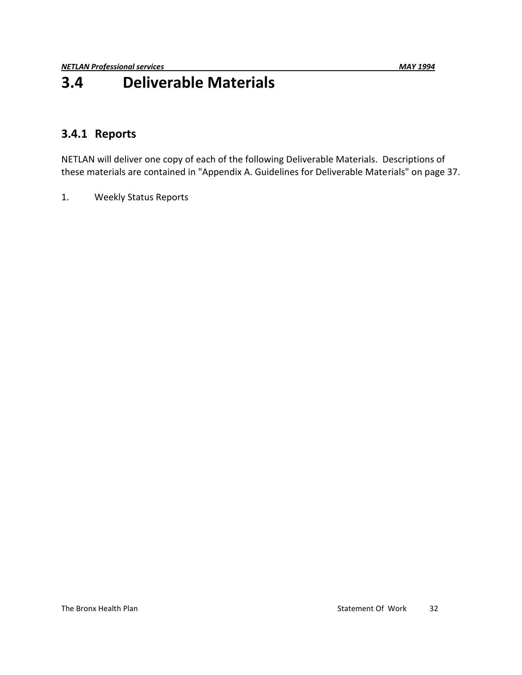# **3.4 Deliverable Materials**

### **3.4.1 Reports**

NETLAN will deliver one copy of each of the following Deliverable Materials. Descriptions of these materials are contained in "Appendix A. Guidelines for Deliverable Materials" on page 37.

1. Weekly Status Reports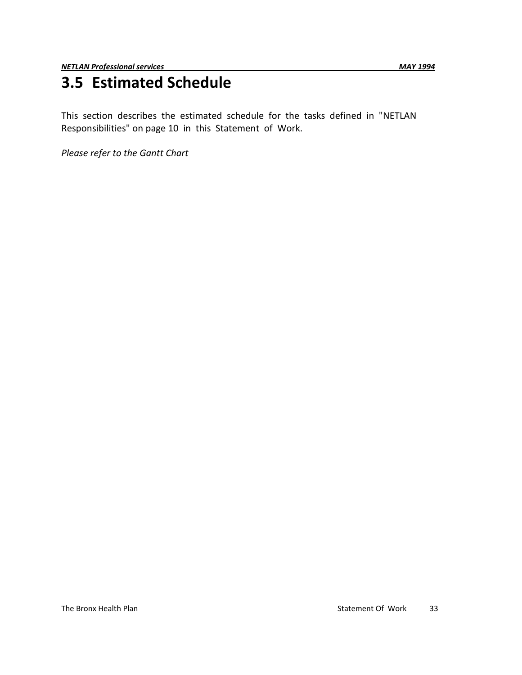# **3.5 Estimated Schedule**

This section describes the estimated schedule for the tasks defined in "NETLAN Responsibilities" on page 10 in this Statement of Work.

*Please refer to the Gantt Chart*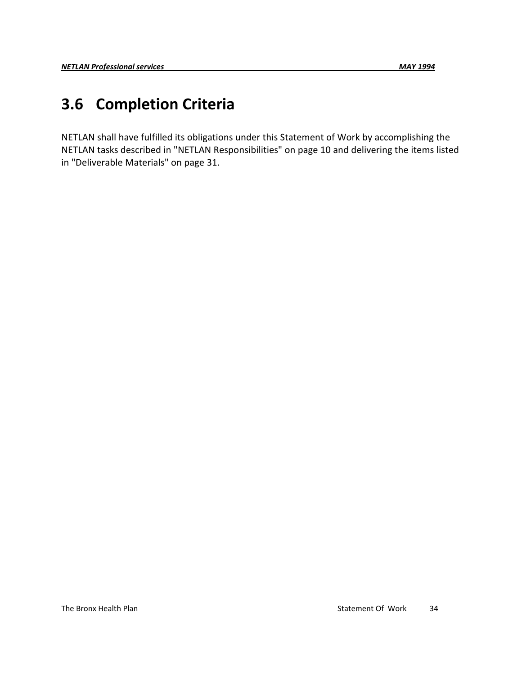# **3.6 Completion Criteria**

NETLAN shall have fulfilled its obligations under this Statement of Work by accomplishing the NETLAN tasks described in "NETLAN Responsibilities" on page 10 and delivering the items listed in "Deliverable Materials" on page 31.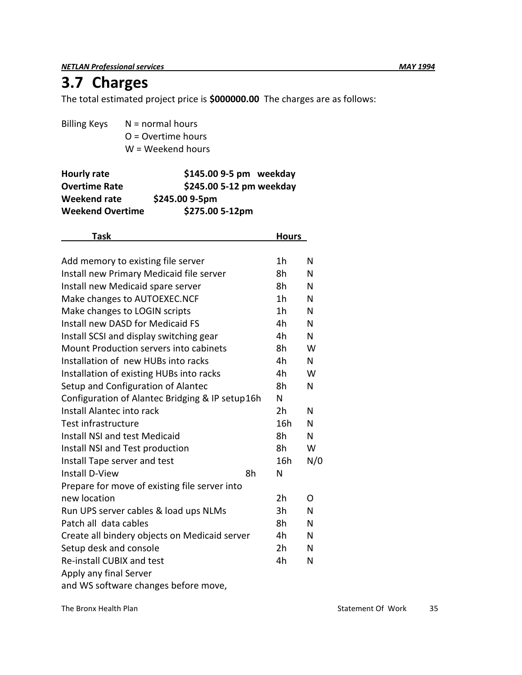*NETLAN Professional services MAY 1994*

# **3.7 Charges**

The total estimated project price is **\$000000.00** The charges are as follows:

| $N = normal hours$   |
|----------------------|
| $Q =$ Overtime hours |
| W = Weekend hours    |
|                      |

| Hourly rate             | \$145.00 9-5 pm weekday  |
|-------------------------|--------------------------|
| <b>Overtime Rate</b>    | \$245.00 5-12 pm weekday |
| Weekend rate            | \$245.00 9-5pm           |
| <b>Weekend Overtime</b> | \$275.00 5-12pm          |

| Task                                            |    | <b>Hours</b>   |     |  |
|-------------------------------------------------|----|----------------|-----|--|
|                                                 |    |                |     |  |
| Add memory to existing file server              |    | 1 <sub>h</sub> | N   |  |
| Install new Primary Medicaid file server        |    | 8h             | N   |  |
| Install new Medicaid spare server               |    | 8h             | N   |  |
| Make changes to AUTOEXEC.NCF                    |    | 1 <sub>h</sub> | N   |  |
| Make changes to LOGIN scripts                   |    | 1 <sub>h</sub> | N   |  |
| Install new DASD for Medicaid FS                |    | 4h             | N   |  |
| Install SCSI and display switching gear         |    | 4h             | N   |  |
| Mount Production servers into cabinets          |    | 8h             | W   |  |
| Installation of new HUBs into racks             |    | 4h             | N.  |  |
| Installation of existing HUBs into racks        |    | 4h             | W   |  |
| Setup and Configuration of Alantec              |    | 8h             | N   |  |
| Configuration of Alantec Bridging & IP setup16h |    | N              |     |  |
| Install Alantec into rack                       |    | 2h             | N   |  |
| Test infrastructure                             |    | 16h            | N   |  |
| Install NSI and test Medicaid                   |    | 8h             | N   |  |
| Install NSI and Test production                 |    | 8h             | W   |  |
| Install Tape server and test                    |    | 16h            | N/0 |  |
| <b>Install D-View</b>                           | 8h | N              |     |  |
| Prepare for move of existing file server into   |    |                |     |  |
| new location                                    |    | 2h             | O   |  |
| Run UPS server cables & load ups NLMs           |    | 3h             | N   |  |
| Patch all data cables                           |    | 8h             | N   |  |
| Create all bindery objects on Medicaid server   |    | 4h             | N   |  |
| Setup desk and console                          |    | 2h             | N   |  |
| Re-install CUBIX and test                       |    | 4h             | N   |  |
| Apply any final Server                          |    |                |     |  |
| and WS software changes before move,            |    |                |     |  |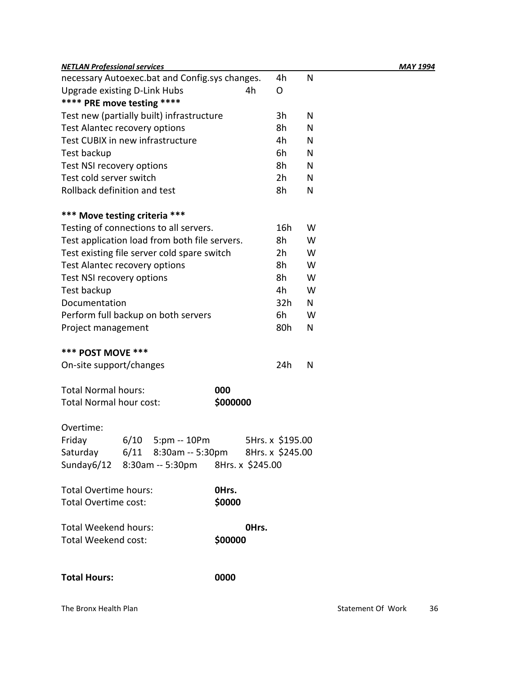| <b>NETLAN Professional services</b>             |          |                  |     |   |  | MAY 1994 |
|-------------------------------------------------|----------|------------------|-----|---|--|----------|
| necessary Autoexec.bat and Config.sys changes.  |          |                  | 4h  | N |  |          |
| <b>Upgrade existing D-Link Hubs</b>             |          | 4h               | O   |   |  |          |
| **** PRE move testing ****                      |          |                  |     |   |  |          |
| Test new (partially built) infrastructure       |          |                  | 3h  | N |  |          |
| Test Alantec recovery options                   |          |                  | 8h  | N |  |          |
| Test CUBIX in new infrastructure                |          |                  | 4h  | N |  |          |
| Test backup                                     |          |                  | 6h  | N |  |          |
| Test NSI recovery options                       |          |                  | 8h  | N |  |          |
| Test cold server switch                         |          |                  | 2h  | N |  |          |
| Rollback definition and test                    |          |                  | 8h  | N |  |          |
| *** Move testing criteria ***                   |          |                  |     |   |  |          |
| Testing of connections to all servers.          |          |                  | 16h | W |  |          |
| Test application load from both file servers.   |          |                  | 8h  | W |  |          |
| Test existing file server cold spare switch     |          |                  | 2h  | W |  |          |
| Test Alantec recovery options                   |          |                  | 8h  | W |  |          |
| Test NSI recovery options                       |          |                  | 8h  | W |  |          |
| Test backup                                     |          |                  | 4h  | W |  |          |
| Documentation                                   |          |                  | 32h | N |  |          |
| Perform full backup on both servers             |          |                  | 6h  | W |  |          |
| Project management                              |          |                  | 80h | N |  |          |
| <b>*** POST MOVE ***</b>                        |          |                  |     |   |  |          |
| On-site support/changes                         |          |                  | 24h | N |  |          |
| <b>Total Normal hours:</b>                      | 000      |                  |     |   |  |          |
| <b>Total Normal hour cost:</b>                  | \$000000 |                  |     |   |  |          |
| Overtime:                                       |          |                  |     |   |  |          |
| Friday<br>$6/10$ 5:pm -- 10Pm                   |          | 5Hrs. x \$195.00 |     |   |  |          |
| Saturday 6/11 8:30am -- 5:30pm 8Hrs. x \$245.00 |          |                  |     |   |  |          |
| Sunday6/12 8:30am -- 5:30pm 8Hrs. x \$245.00    |          |                  |     |   |  |          |
| <b>Total Overtime hours:</b>                    | OHrs.    |                  |     |   |  |          |
| Total Overtime cost:                            | \$0000   |                  |     |   |  |          |
| <b>Total Weekend hours:</b>                     |          | OHrs.            |     |   |  |          |
| Total Weekend cost:                             | \$00000  |                  |     |   |  |          |
| <b>Total Hours:</b>                             | 0000     |                  |     |   |  |          |
|                                                 |          |                  |     |   |  |          |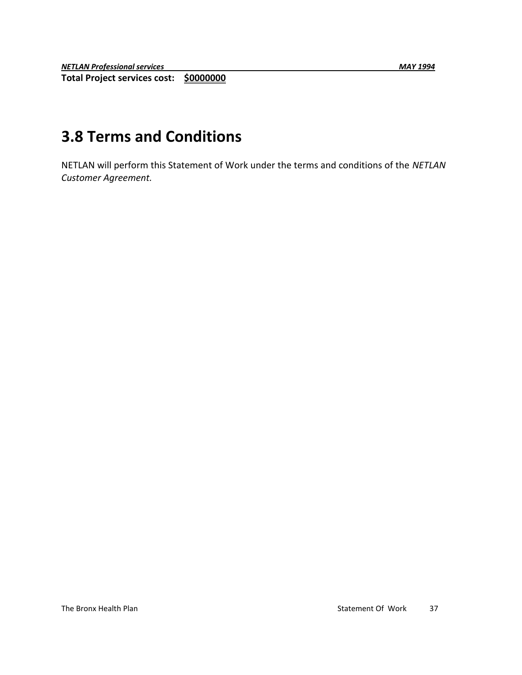# **3.8 Terms and Conditions**

NETLAN will perform this Statement of Work under the terms and conditions of the *NETLAN Customer Agreement.*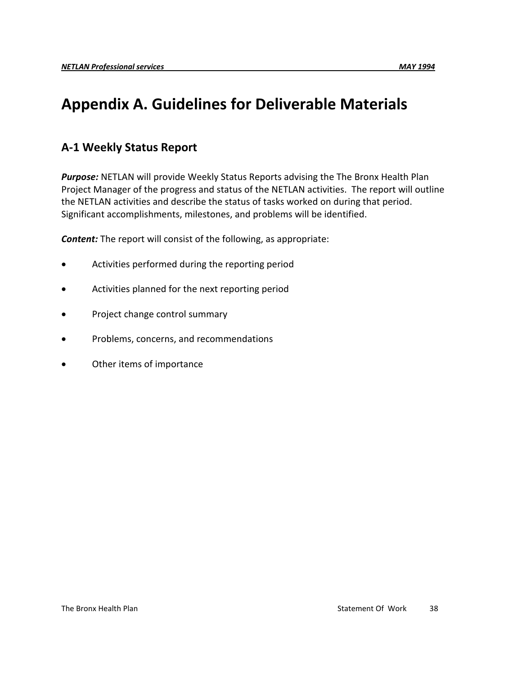# **Appendix A. Guidelines for Deliverable Materials**

# **A-1 Weekly Status Report**

*Purpose:* NETLAN will provide Weekly Status Reports advising the The Bronx Health Plan Project Manager of the progress and status of the NETLAN activities. The report will outline the NETLAN activities and describe the status of tasks worked on during that period. Significant accomplishments, milestones, and problems will be identified.

*Content:* The report will consist of the following, as appropriate:

- Activities performed during the reporting period
- Activities planned for the next reporting period
- Project change control summary
- Problems, concerns, and recommendations
- Other items of importance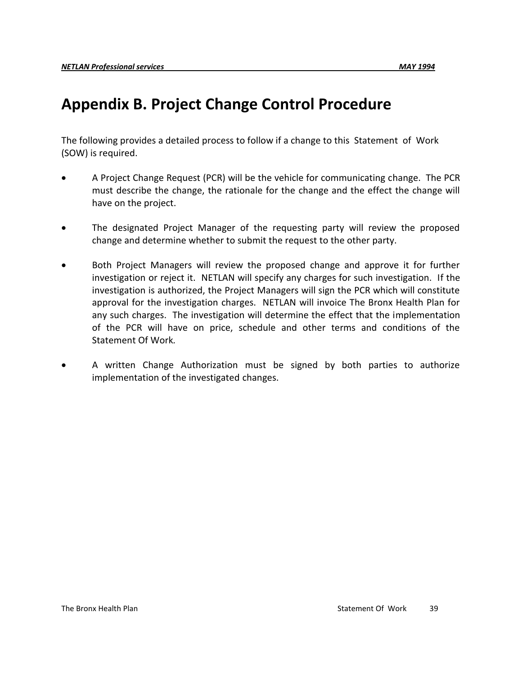# **Appendix B. Project Change Control Procedure**

The following provides a detailed process to follow if a change to this Statement of Work (SOW) is required.

- A Project Change Request (PCR) will be the vehicle for communicating change. The PCR must describe the change, the rationale for the change and the effect the change will have on the project.
- The designated Project Manager of the requesting party will review the proposed change and determine whether to submit the request to the other party.
- Both Project Managers will review the proposed change and approve it for further investigation or reject it. NETLAN will specify any charges for such investigation. If the investigation is authorized, the Project Managers will sign the PCR which will constitute approval for the investigation charges. NETLAN will invoice The Bronx Health Plan for any such charges. The investigation will determine the effect that the implementation of the PCR will have on price, schedule and other terms and conditions of the Statement Of Work*.*
- A written Change Authorization must be signed by both parties to authorize implementation of the investigated changes.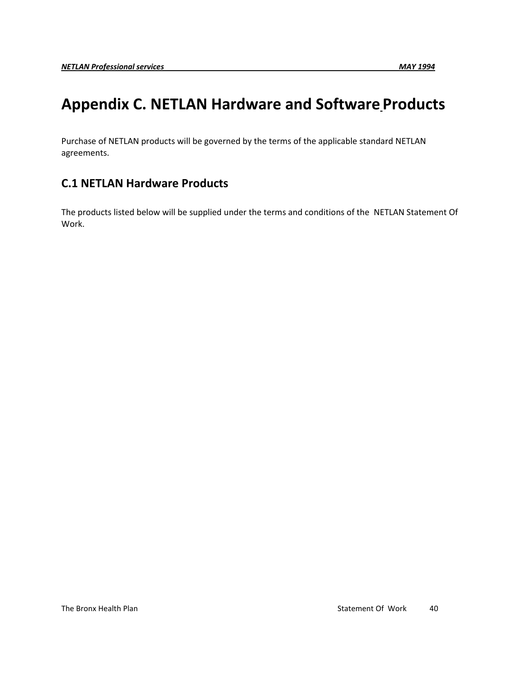# **Appendix C. NETLAN Hardware and Software Products**

Purchase of NETLAN products will be governed by the terms of the applicable standard NETLAN agreements.

# **C.1 NETLAN Hardware Products**

The products listed below will be supplied under the terms and conditions of the NETLAN Statement Of Work.